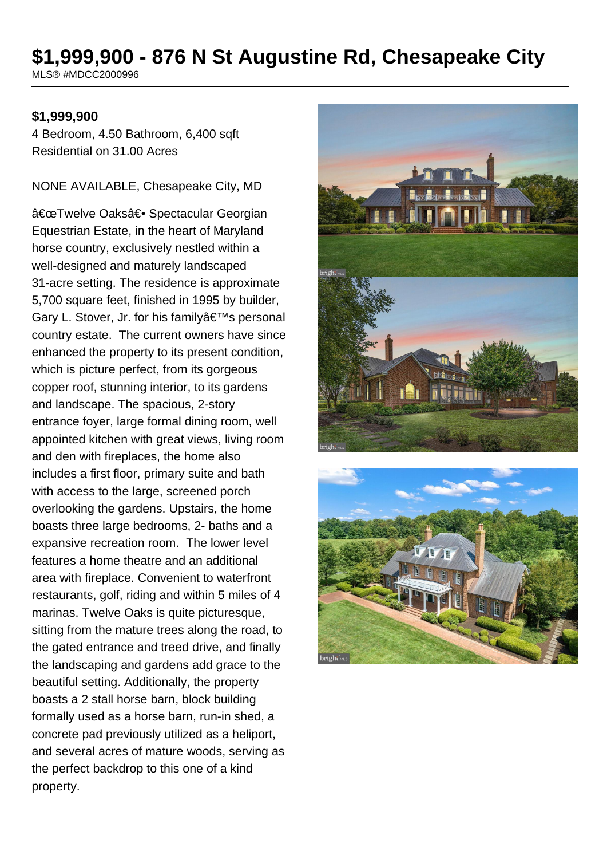# **\$1,999,900 - 876 N St Augustine Rd, Chesapeake City**

MLS® #MDCC2000996

#### **\$1,999,900**

4 Bedroom, 4.50 Bathroom, 6,400 sqft Residential on 31.00 Acres

NONE AVAILABLE, Chesapeake City, MD

"Twelve Oaks†Spectacular Georgian Equestrian Estate, in the heart of Maryland horse country, exclusively nestled within a well-designed and maturely landscaped 31-acre setting. The residence is approximate 5,700 square feet, finished in 1995 by builder, Gary L. Stover, Jr. for his family's personal country estate. The current owners have since enhanced the property to its present condition, which is picture perfect, from its gorgeous copper roof, stunning interior, to its gardens and landscape. The spacious, 2-story entrance foyer, large formal dining room, well appointed kitchen with great views, living room and den with fireplaces, the home also includes a first floor, primary suite and bath with access to the large, screened porch overlooking the gardens. Upstairs, the home boasts three large bedrooms, 2- baths and a expansive recreation room. The lower level features a home theatre and an additional area with fireplace. Convenient to waterfront restaurants, golf, riding and within 5 miles of 4 marinas. Twelve Oaks is quite picturesque, sitting from the mature trees along the road, to the gated entrance and treed drive, and finally the landscaping and gardens add grace to the beautiful setting. Additionally, the property boasts a 2 stall horse barn, block building formally used as a horse barn, run-in shed, a concrete pad previously utilized as a heliport, and several acres of mature woods, serving as the perfect backdrop to this one of a kind property.



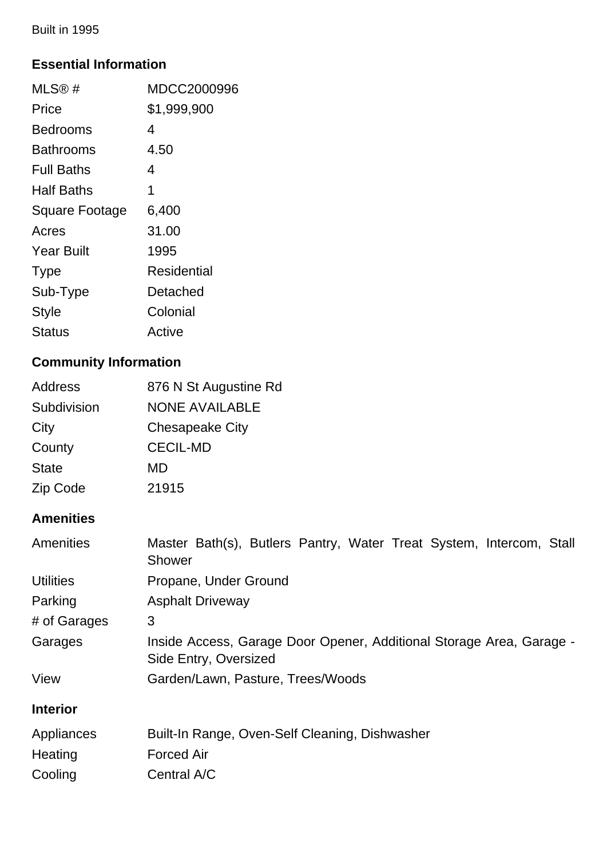Built in 1995

## **Essential Information**

| MLS@#                 | MDCC2000996 |
|-----------------------|-------------|
| Price                 | \$1,999,900 |
| Bedrooms              | 4           |
| Bathrooms             | 4.50        |
| <b>Full Baths</b>     | 4           |
| Half Baths            | 1           |
| <b>Square Footage</b> | 6,400       |
| Acres                 | 31.00       |
| <b>Year Built</b>     | 1995        |
| <b>Type</b>           | Residential |
| Sub-Type              | Detached    |
| <b>Style</b>          | Colonial    |
| Status                | Active      |

## **Community Information**

| Address      | 876 N St Augustine Rd  |
|--------------|------------------------|
| Subdivision  | <b>NONE AVAILABLE</b>  |
| City         | <b>Chesapeake City</b> |
| County       | <b>CECIL-MD</b>        |
| <b>State</b> | MD                     |
| Zip Code     | 21915                  |

## **Amenities**

| Amenities        | Master Bath(s), Butlers Pantry, Water Treat System, Intercom, Stall<br>Shower                 |  |  |
|------------------|-----------------------------------------------------------------------------------------------|--|--|
| <b>Utilities</b> | Propane, Under Ground                                                                         |  |  |
| Parking          | <b>Asphalt Driveway</b>                                                                       |  |  |
| # of Garages     | 3                                                                                             |  |  |
| Garages          | Inside Access, Garage Door Opener, Additional Storage Area, Garage -<br>Side Entry, Oversized |  |  |
| View             | Garden/Lawn, Pasture, Trees/Woods                                                             |  |  |
| <b>Interior</b>  |                                                                                               |  |  |
| Appliances       | Built-In Range, Oven-Self Cleaning, Dishwasher                                                |  |  |
| Heating          | <b>Forced Air</b>                                                                             |  |  |
| Cooling          | Central A/C                                                                                   |  |  |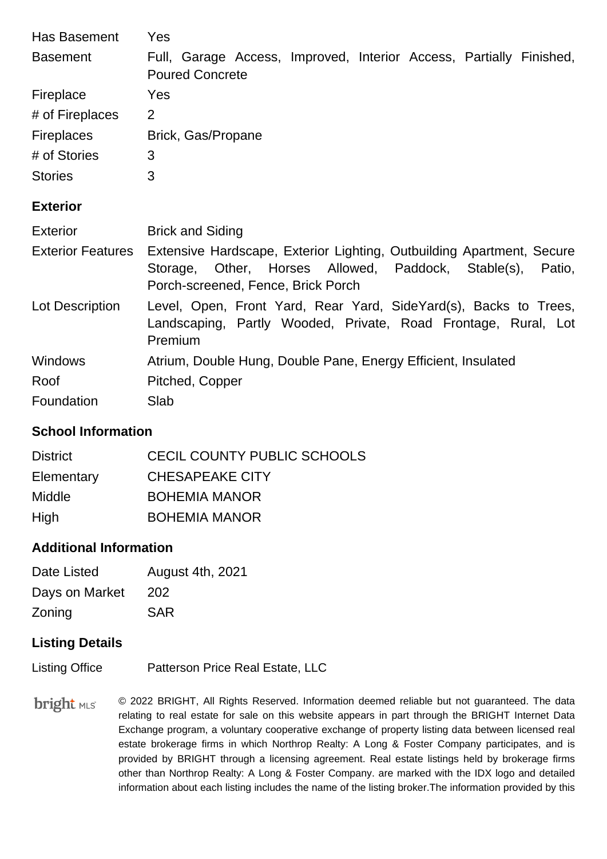| Has Basement             | Yes                                                                                                                                                                          |
|--------------------------|------------------------------------------------------------------------------------------------------------------------------------------------------------------------------|
| <b>Basement</b>          | Full, Garage Access, Improved, Interior Access, Partially Finished,<br><b>Poured Concrete</b>                                                                                |
| Fireplace                | Yes                                                                                                                                                                          |
| # of Fireplaces          | 2                                                                                                                                                                            |
| Fireplaces               | Brick, Gas/Propane                                                                                                                                                           |
| # of Stories             | 3                                                                                                                                                                            |
| <b>Stories</b>           | 3                                                                                                                                                                            |
| <b>Exterior</b>          |                                                                                                                                                                              |
|                          |                                                                                                                                                                              |
| <b>Exterior</b>          | <b>Brick and Siding</b>                                                                                                                                                      |
| <b>Exterior Features</b> | Extensive Hardscape, Exterior Lighting, Outbuilding Apartment, Secure<br>Other, Horses Allowed, Paddock, Stable(s), Patio,<br>Storage,<br>Porch-screened, Fence, Brick Porch |
| Lot Description          | Level, Open, Front Yard, Rear Yard, SideYard(s), Backs to Trees,<br>Landscaping, Partly Wooded, Private, Road Frontage, Rural, Lot<br>Premium                                |
| <b>Windows</b>           | Atrium, Double Hung, Double Pane, Energy Efficient, Insulated                                                                                                                |
| Roof                     | Pitched, Copper                                                                                                                                                              |

### **School Information**

| <b>District</b> | CECIL COUNTY PUBLIC SCHOOLS |
|-----------------|-----------------------------|
| Elementary      | <b>CHESAPEAKE CITY</b>      |
| <b>Middle</b>   | <b>BOHEMIA MANOR</b>        |
| High            | <b>BOHEMIA MANOR</b>        |

#### **Additional Information**

| Date Listed    | <b>August 4th, 2021</b> |
|----------------|-------------------------|
| Days on Market | 202                     |
| Zoning         | <b>SAR</b>              |

## **Listing Details**

Listing Office Patterson Price Real Estate, LLC

**bright** MLS © 2022 BRIGHT, All Rights Reserved. Information deemed reliable but not guaranteed. The data relating to real estate for sale on this website appears in part through the BRIGHT Internet Data Exchange program, a voluntary cooperative exchange of property listing data between licensed real estate brokerage firms in which Northrop Realty: A Long & Foster Company participates, and is provided by BRIGHT through a licensing agreement. Real estate listings held by brokerage firms other than Northrop Realty: A Long & Foster Company. are marked with the IDX logo and detailed information about each listing includes the name of the listing broker.The information provided by this